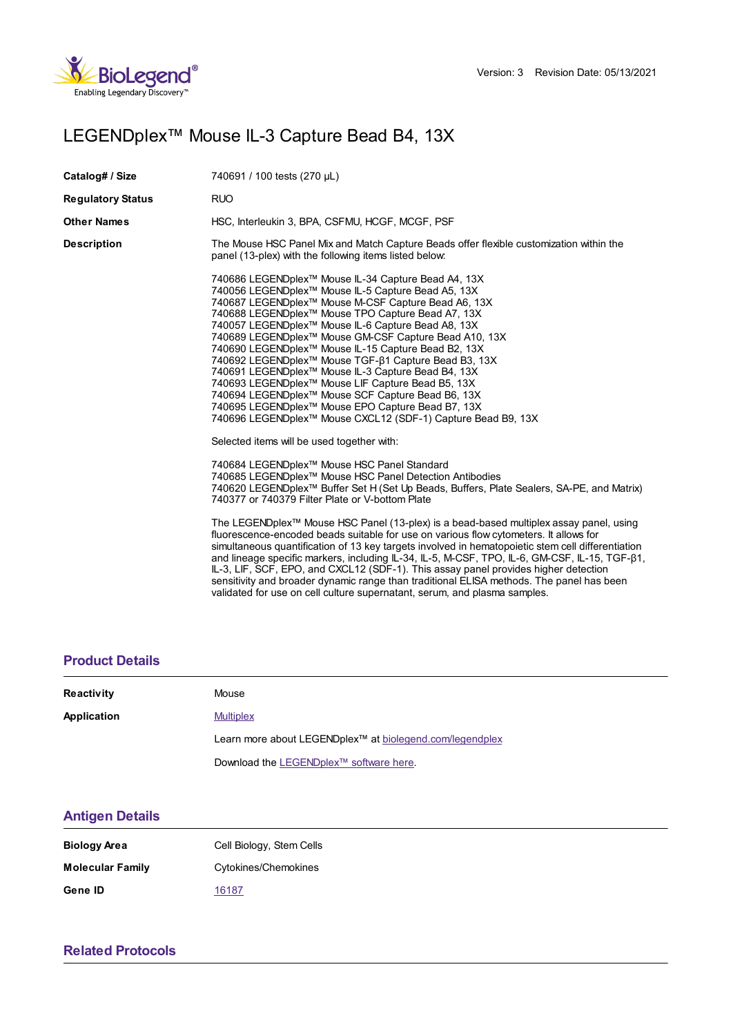

# LEGENDplex™ Mouse IL-3 Capture Bead B4, 13X

| Catalog# / Size          | 740691 / 100 tests (270 µL)                                                                                                                                                                                                                                                                                                                                                                                                                                                                                                                                                                                                                                                                                                                                                  |  |
|--------------------------|------------------------------------------------------------------------------------------------------------------------------------------------------------------------------------------------------------------------------------------------------------------------------------------------------------------------------------------------------------------------------------------------------------------------------------------------------------------------------------------------------------------------------------------------------------------------------------------------------------------------------------------------------------------------------------------------------------------------------------------------------------------------------|--|
| <b>Regulatory Status</b> | <b>RUO</b>                                                                                                                                                                                                                                                                                                                                                                                                                                                                                                                                                                                                                                                                                                                                                                   |  |
| <b>Other Names</b>       | HSC, Interleukin 3, BPA, CSFMU, HCGF, MCGF, PSF                                                                                                                                                                                                                                                                                                                                                                                                                                                                                                                                                                                                                                                                                                                              |  |
| Description              | The Mouse HSC Panel Mix and Match Capture Beads offer flexible customization within the<br>panel (13-plex) with the following items listed below:                                                                                                                                                                                                                                                                                                                                                                                                                                                                                                                                                                                                                            |  |
|                          | 740686 LEGENDplex™ Mouse IL-34 Capture Bead A4, 13X<br>740056 LEGENDplex™ Mouse IL-5 Capture Bead A5, 13X<br>740687 LEGENDplex™ Mouse M-CSF Capture Bead A6, 13X<br>740688 LEGENDplex™ Mouse TPO Capture Bead A7, 13X<br>740057 LEGENDplex <sup>™</sup> Mouse IL-6 Capture Bead A8, 13X<br>740689 LEGENDplex™ Mouse GM-CSF Capture Bead A10, 13X<br>740690 LEGENDplex <sup>™</sup> Mouse IL-15 Capture Bead B2, 13X<br>740692 LEGENDplex™ Mouse TGF-β1 Capture Bead B3, 13X<br>740691 LEGENDplex <sup>™</sup> Mouse IL-3 Capture Bead B4, 13X<br>740693 LEGENDplex™ Mouse LIF Capture Bead B5, 13X<br>740694 LEGENDplex™ Mouse SCF Capture Bead B6, 13X<br>740695 LEGENDplex™ Mouse EPO Capture Bead B7, 13X<br>740696 LEGENDplex™ Mouse CXCL12 (SDF-1) Capture Bead B9, 13X |  |
|                          | Selected items will be used together with:                                                                                                                                                                                                                                                                                                                                                                                                                                                                                                                                                                                                                                                                                                                                   |  |
|                          | 740684 LEGENDplex™ Mouse HSC Panel Standard<br>740685 LEGENDplex™ Mouse HSC Panel Detection Antibodies<br>740620 LEGENDplex <sup>™</sup> Buffer Set H (Set Up Beads, Buffers, Plate Sealers, SA-PE, and Matrix)<br>740377 or 740379 Filter Plate or V-bottom Plate                                                                                                                                                                                                                                                                                                                                                                                                                                                                                                           |  |
|                          | The LEGENDplex <sup>™</sup> Mouse HSC Panel (13-plex) is a bead-based multiplex assay panel, using<br>fluorescence-encoded beads suitable for use on various flow cytometers. It allows for<br>simultaneous quantification of 13 key targets involved in hematopoietic stem cell differentiation<br>and lineage specific markers, including IL-34, IL-5, M-CSF, TPO, IL-6, GM-CSF, IL-15, TGF-ß1,<br>IL-3, LIF, SCF, EPO, and CXCL12 (SDF-1). This assay panel provides higher detection<br>sensitivity and broader dynamic range than traditional ELISA methods. The panel has been<br>validated for use on cell culture supernatant, serum, and plasma samples.                                                                                                            |  |

### **[Product](https://production-dynamicweb.biolegend.com/en-us/products/legendplex-mouse-il-3-capture-bead-b4-13x-15213?pdf=true&displayInline=true&leftRightMargin=15&topBottomMargin=15&filename=LEGENDplex%EF%BF%BD%EF%BF%BD%EF%BF%BD Mouse IL-3 Capture Bead B4, 13X.pdf#productDetails) Details**

| <b>Reactivity</b> | Mouse                                                                |  |
|-------------------|----------------------------------------------------------------------|--|
| Application       | <b>Multiplex</b>                                                     |  |
|                   | Learn more about LEGENDplex <sup>™</sup> at biolegend.com/legendplex |  |
|                   | Download the LEGENDplex™ software here.                              |  |

## **[Antigen](https://production-dynamicweb.biolegend.com/en-us/products/legendplex-mouse-il-3-capture-bead-b4-13x-15213?pdf=true&displayInline=true&leftRightMargin=15&topBottomMargin=15&filename=LEGENDplex%EF%BF%BD%EF%BF%BD%EF%BF%BD Mouse IL-3 Capture Bead B4, 13X.pdf#antigenDetails) Details**

| <b>Biology Area</b>     | Cell Biology, Stem Cells |
|-------------------------|--------------------------|
| <b>Molecular Family</b> | Cytokines/Chemokines     |
| Gene ID                 | 16187                    |

## **Related [Protocols](https://production-dynamicweb.biolegend.com/en-us/products/legendplex-mouse-il-3-capture-bead-b4-13x-15213?pdf=true&displayInline=true&leftRightMargin=15&topBottomMargin=15&filename=LEGENDplex%EF%BF%BD%EF%BF%BD%EF%BF%BD Mouse IL-3 Capture Bead B4, 13X.pdf#productRelatedProtocols)**